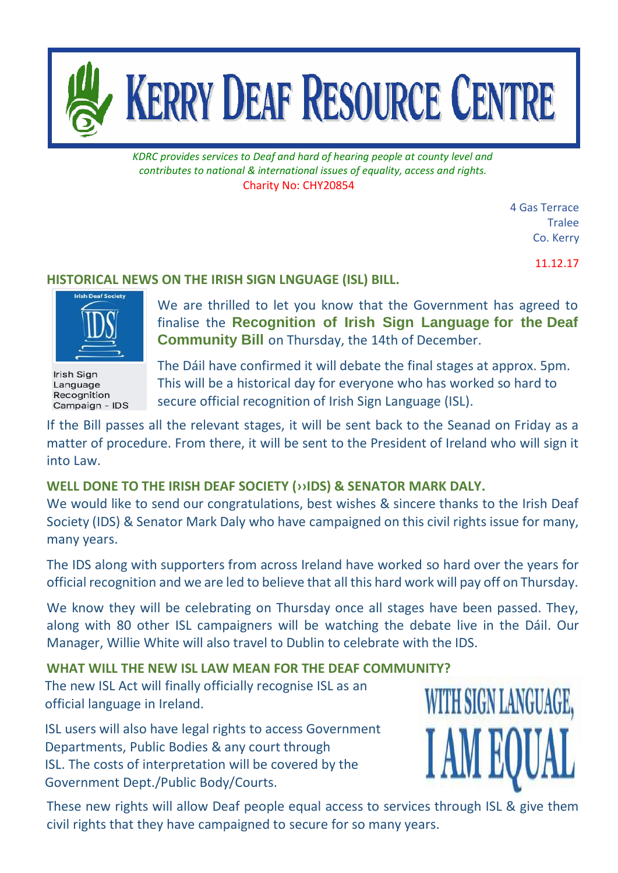

*KDRC provides services to Deaf and hard of hearing people at county level and contributes to national & international issues of equality, access and rights.* Charity No: CHY20854

> 4 Gas Terrace **Tralee** Co. Kerry

> > 11.12.17

## **HISTORICAL NEWS ON THE IRISH SIGN LNGUAGE (ISL) BILL.**



Irish Sign Language Recognition Campaign - IDS

We are thrilled to let you know that the Government has agreed to finalise the **Recognition of Irish Sign Language for the Deaf Community Bill** on Thursday, the 14th of December.

The Dáil have confirmed it will debate the final stages at approx. 5pm. This will be a historical day for everyone who has worked so hard to secure official recognition of Irish Sign Language (ISL).

If the Bill passes all the relevant stages, it will be sent back to the Seanad on Friday as a matter of procedure. From there, it will be sent to the President of Ireland who will sign it into Law.

## **WELL DONE TO THE IRISH DEAF SOCIETY (››IDS) & SENATOR MARK DALY.**

We would like to send our congratulations, best wishes & sincere thanks to the Irish Deaf Society (IDS) & Senator Mark Daly who have campaigned on this civil rights issue for many, many years.

The IDS along with supporters from across Ireland have worked so hard over the years for official recognition and we are led to believe that all this hard work will pay off on Thursday.

We know they will be celebrating on Thursday once all stages have been passed. They, along with 80 other ISL campaigners will be watching the debate live in the Dáil. Our Manager, Willie White will also travel to Dublin to celebrate with the IDS.

## **WHAT WILL THE NEW ISL LAW MEAN FOR THE DEAF COMMUNITY?**

The new ISL Act will finally officially recognise ISL as an official language in Ireland.

ISL users will also have legal rights to access Government Departments, Public Bodies & any court through ISL. The costs of interpretation will be covered by the Government Dept./Public Body/Courts.



These new rights will allow Deaf people equal access to services through ISL & give them civil rights that they have campaigned to secure for so many years.